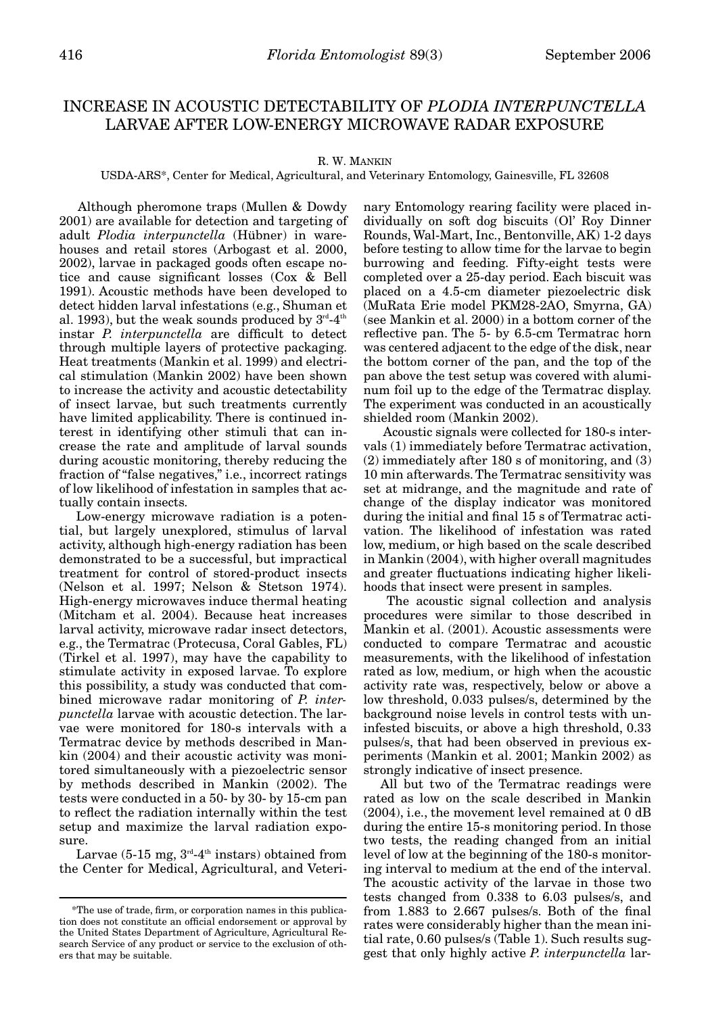# INCREASE IN ACOUSTIC DETECTABILITY OF *PLODIA INTERPUNCTELLA*  LARVAE AFTER LOW-ENERGY MICROWAVE RADAR EXPOSURE

## R. W. MANKIN

## USDA-ARS\*, Center for Medical, Agricultural, and Veterinary Entomology, Gainesville, FL 32608

Although pheromone traps (Mullen & Dowdy 2001) are available for detection and targeting of adult *Plodia interpunctella* (Hübner) in warehouses and retail stores (Arbogast et al. 2000, 2002), larvae in packaged goods often escape notice and cause significant losses (Cox & Bell 1991). Acoustic methods have been developed to detect hidden larval infestations (e.g., Shuman et al. 1993), but the weak sounds produced by  $3<sup>rd</sup>-4<sup>th</sup>$ instar *P. interpunctella* are difficult to detect through multiple layers of protective packaging. Heat treatments (Mankin et al. 1999) and electrical stimulation (Mankin 2002) have been shown to increase the activity and acoustic detectability of insect larvae, but such treatments currently have limited applicability. There is continued interest in identifying other stimuli that can increase the rate and amplitude of larval sounds during acoustic monitoring, thereby reducing the fraction of "false negatives," i.e., incorrect ratings of low likelihood of infestation in samples that actually contain insects.

Low-energy microwave radiation is a potential, but largely unexplored, stimulus of larval activity, although high-energy radiation has been demonstrated to be a successful, but impractical treatment for control of stored-product insects (Nelson et al. 1997; Nelson & Stetson 1974). High-energy microwaves induce thermal heating (Mitcham et al. 2004). Because heat increases larval activity, microwave radar insect detectors, e.g., the Termatrac (Protecusa, Coral Gables, FL) (Tirkel et al. 1997), may have the capability to stimulate activity in exposed larvae. To explore this possibility, a study was conducted that combined microwave radar monitoring of *P. interpunctella* larvae with acoustic detection. The larvae were monitored for 180-s intervals with a Termatrac device by methods described in Mankin (2004) and their acoustic activity was monitored simultaneously with a piezoelectric sensor by methods described in Mankin (2002). The tests were conducted in a 50- by 30- by 15-cm pan to reflect the radiation internally within the test setup and maximize the larval radiation exposure.

Larvae  $(5-15 \text{ mg}, 3^{\text{rd}}-4^{\text{th}} \text{instars})$  obtained from the Center for Medical, Agricultural, and Veteri-

nary Entomology rearing facility were placed individually on soft dog biscuits (Ol' Roy Dinner Rounds, Wal-Mart, Inc., Bentonville, AK) 1-2 days before testing to allow time for the larvae to begin burrowing and feeding. Fifty-eight tests were completed over a 25-day period. Each biscuit was placed on a 4.5-cm diameter piezoelectric disk (MuRata Erie model PKM28-2AO, Smyrna, GA) (see Mankin et al. 2000) in a bottom corner of the reflective pan. The 5- by 6.5-cm Termatrac horn was centered adjacent to the edge of the disk, near the bottom corner of the pan, and the top of the pan above the test setup was covered with aluminum foil up to the edge of the Termatrac display. The experiment was conducted in an acoustically shielded room (Mankin 2002).

Acoustic signals were collected for 180-s intervals (1) immediately before Termatrac activation, (2) immediately after 180 s of monitoring, and (3) 10 min afterwards. The Termatrac sensitivity was set at midrange, and the magnitude and rate of change of the display indicator was monitored during the initial and final 15 s of Termatrac activation. The likelihood of infestation was rated low, medium, or high based on the scale described in Mankin (2004), with higher overall magnitudes and greater fluctuations indicating higher likelihoods that insect were present in samples.

The acoustic signal collection and analysis procedures were similar to those described in Mankin et al. (2001). Acoustic assessments were conducted to compare Termatrac and acoustic measurements, with the likelihood of infestation rated as low, medium, or high when the acoustic activity rate was, respectively, below or above a low threshold, 0.033 pulses/s, determined by the background noise levels in control tests with uninfested biscuits, or above a high threshold, 0.33 pulses/s, that had been observed in previous experiments (Mankin et al. 2001; Mankin 2002) as strongly indicative of insect presence.

All but two of the Termatrac readings were rated as low on the scale described in Mankin (2004), i.e., the movement level remained at 0 dB during the entire 15-s monitoring period. In those two tests, the reading changed from an initial level of low at the beginning of the 180-s monitoring interval to medium at the end of the interval. The acoustic activity of the larvae in those two tests changed from 0.338 to 6.03 pulses/s, and from 1.883 to 2.667 pulses/s. Both of the final rates were considerably higher than the mean initial rate, 0.60 pulses/s (Table 1). Such results suggest that only highly active *P. interpunctella* lar-

<sup>\*</sup>The use of trade, firm, or corporation names in this publication does not constitute an official endorsement or approval by the United States Department of Agriculture, Agricultural Research Service of any product or service to the exclusion of others that may be suitable.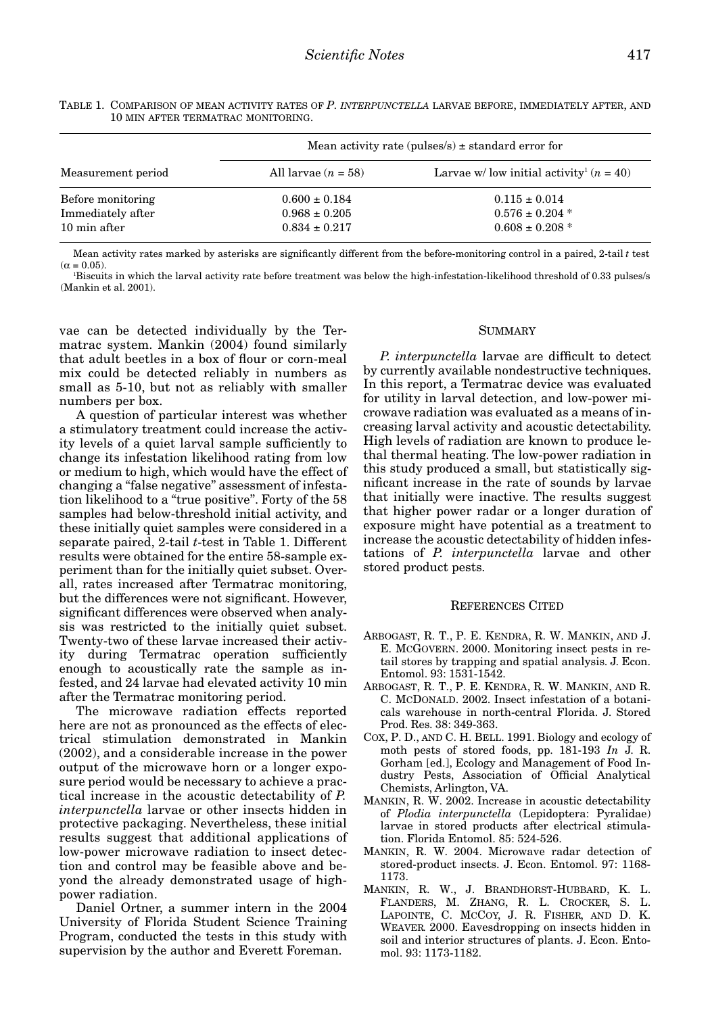| Measurement period | Mean activity rate (pulses/s) $\pm$ standard error for |                                                        |
|--------------------|--------------------------------------------------------|--------------------------------------------------------|
|                    | All larvae $(n = 58)$                                  | Larvae w/ low initial activity <sup>1</sup> $(n = 40)$ |
| Before monitoring  | $0.600 \pm 0.184$                                      | $0.115 \pm 0.014$                                      |
| Immediately after  | $0.968 \pm 0.205$                                      | $0.576 \pm 0.204$ *                                    |
| 10 min after       | $0.834 \pm 0.217$                                      | $0.608 \pm 0.208$ *                                    |

TABLE 1. COMPARISON OF MEAN ACTIVITY RATES OF *P. INTERPUNCTELLA* LARVAE BEFORE, IMMEDIATELY AFTER, AND 10 MIN AFTER TERMATRAC MONITORING.

Mean activity rates marked by asterisks are significantly different from the before-monitoring control in a paired, 2-tail *t* test  $(α = 0.05)$ .

1 Biscuits in which the larval activity rate before treatment was below the high-infestation-likelihood threshold of 0.33 pulses/s (Mankin et al. 2001).

vae can be detected individually by the Termatrac system. Mankin (2004) found similarly that adult beetles in a box of flour or corn-meal mix could be detected reliably in numbers as small as 5-10, but not as reliably with smaller numbers per box.

A question of particular interest was whether a stimulatory treatment could increase the activity levels of a quiet larval sample sufficiently to change its infestation likelihood rating from low or medium to high, which would have the effect of changing a "false negative" assessment of infestation likelihood to a "true positive". Forty of the 58 samples had below-threshold initial activity, and these initially quiet samples were considered in a separate paired, 2-tail *t*-test in Table 1. Different results were obtained for the entire 58-sample experiment than for the initially quiet subset. Overall, rates increased after Termatrac monitoring, but the differences were not significant. However, significant differences were observed when analysis was restricted to the initially quiet subset. Twenty-two of these larvae increased their activity during Termatrac operation sufficiently enough to acoustically rate the sample as infested, and 24 larvae had elevated activity 10 min after the Termatrac monitoring period.

The microwave radiation effects reported here are not as pronounced as the effects of electrical stimulation demonstrated in Mankin (2002), and a considerable increase in the power output of the microwave horn or a longer exposure period would be necessary to achieve a practical increase in the acoustic detectability of *P. interpunctella* larvae or other insects hidden in protective packaging. Nevertheless, these initial results suggest that additional applications of low-power microwave radiation to insect detection and control may be feasible above and beyond the already demonstrated usage of highpower radiation.

Daniel Ortner, a summer intern in the 2004 University of Florida Student Science Training Program, conducted the tests in this study with supervision by the author and Everett Foreman.

### **SUMMARY**

*P. interpunctella* larvae are difficult to detect by currently available nondestructive techniques. In this report, a Termatrac device was evaluated for utility in larval detection, and low-power microwave radiation was evaluated as a means of increasing larval activity and acoustic detectability. High levels of radiation are known to produce lethal thermal heating. The low-power radiation in this study produced a small, but statistically significant increase in the rate of sounds by larvae that initially were inactive. The results suggest that higher power radar or a longer duration of exposure might have potential as a treatment to increase the acoustic detectability of hidden infestations of *P. interpunctella* larvae and other stored product pests.

### REFERENCES CITED

- ARBOGAST, R. T., P. E. KENDRA, R. W. MANKIN, AND J. E. MCGOVERN. 2000. Monitoring insect pests in retail stores by trapping and spatial analysis. J. Econ. Entomol. 93: 1531-1542.
- ARBOGAST, R. T., P. E. KENDRA, R. W. MANKIN, AND R. C. MCDONALD. 2002. Insect infestation of a botanicals warehouse in north-central Florida. J. Stored Prod. Res. 38: 349-363.
- COX, P. D., AND C. H. BELL. 1991. Biology and ecology of moth pests of stored foods, pp. 181-193 *In* J. R. Gorham [ed.], Ecology and Management of Food Industry Pests, Association of Official Analytical Chemists, Arlington, VA.
- MANKIN, R. W. 2002. Increase in acoustic detectability of *Plodia interpunctella* (Lepidoptera: Pyralidae) larvae in stored products after electrical stimulation. Florida Entomol. 85: 524-526.
- MANKIN, R. W. 2004. Microwave radar detection of stored-product insects. J. Econ. Entomol. 97: 1168- 1173.
- MANKIN, R. W., J. BRANDHORST-HUBBARD, K. L. FLANDERS, M. ZHANG, R. L. CROCKER, S. L. LAPOINTE, C. MCCOY, J. R. FISHER, AND D. K. WEAVER. 2000. Eavesdropping on insects hidden in soil and interior structures of plants. J. Econ. Entomol. 93: 1173-1182.